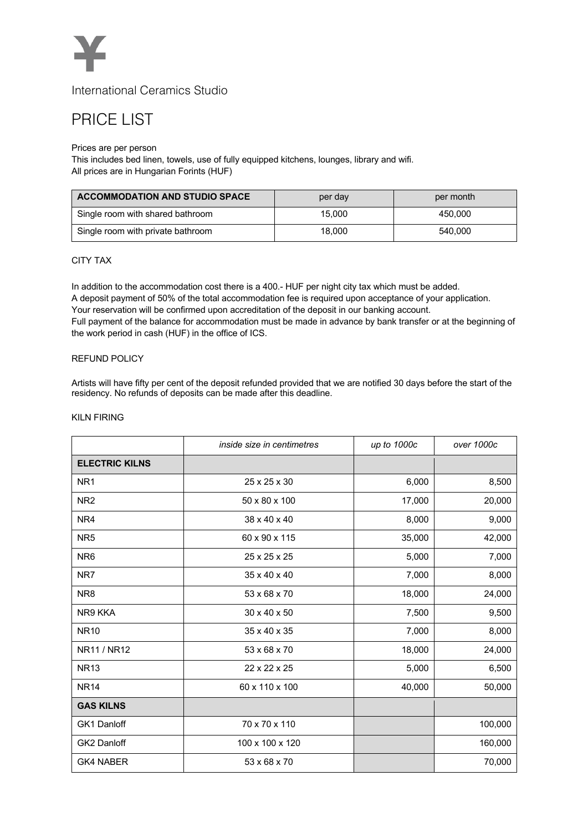# International Ceramics Studio

# PRICE LIST

Prices are per person

This includes bed linen, towels, use of fully equipped kitchens, lounges, library and wifi. All prices are in Hungarian Forints (HUF)

| <b>ACCOMMODATION AND STUDIO SPACE</b> | per day | per month |
|---------------------------------------|---------|-----------|
| Single room with shared bathroom      | 15.000  | 450.000   |
| Single room with private bathroom     | 18,000  | 540.000   |

## CITY TAX

In addition to the accommodation cost there is a 400.- HUF per night city tax which must be added. A deposit payment of 50% of the total accommodation fee is required upon acceptance of your application. Your reservation will be confirmed upon accreditation of the deposit in our banking account. Full payment of the balance for accommodation must be made in advance by bank transfer or at the beginning of the work period in cash (HUF) in the office of ICS.

### REFUND POLICY

Artists will have fifty per cent of the deposit refunded provided that we are notified 30 days before the start of the residency. No refunds of deposits can be made after this deadline.

### KILN FIRING

|                       | <i>inside size in centimetres</i> | up to 1000c | over 1000c |
|-----------------------|-----------------------------------|-------------|------------|
| <b>ELECTRIC KILNS</b> |                                   |             |            |
| NR <sub>1</sub>       | $25 \times 25 \times 30$          | 6,000       | 8,500      |
| NR <sub>2</sub>       | 50 x 80 x 100                     | 17,000      | 20,000     |
| NR4                   | 38 x 40 x 40                      | 8,000       | 9,000      |
| NR <sub>5</sub>       | 60 x 90 x 115                     | 35,000      | 42,000     |
| NR <sub>6</sub>       | 25 x 25 x 25                      | 5,000       | 7,000      |
| NR7                   | 35 x 40 x 40                      | 7,000       | 8,000      |
| NR <sub>8</sub>       | 53 x 68 x 70                      | 18,000      | 24,000     |
| NR9 KKA               | $30 \times 40 \times 50$          | 7,500       | 9,500      |
| <b>NR10</b>           | 35 x 40 x 35                      | 7,000       | 8,000      |
| NR11 / NR12           | 53 x 68 x 70                      | 18,000      | 24,000     |
| <b>NR13</b>           | 22 x 22 x 25                      | 5,000       | 6,500      |
| <b>NR14</b>           | 60 x 110 x 100                    | 40,000      | 50,000     |
| <b>GAS KILNS</b>      |                                   |             |            |
| GK1 Danloff           | 70 x 70 x 110                     |             | 100,000    |
| GK2 Danloff           | 100 x 100 x 120                   |             | 160,000    |
| <b>GK4 NABER</b>      | 53 x 68 x 70                      |             | 70,000     |